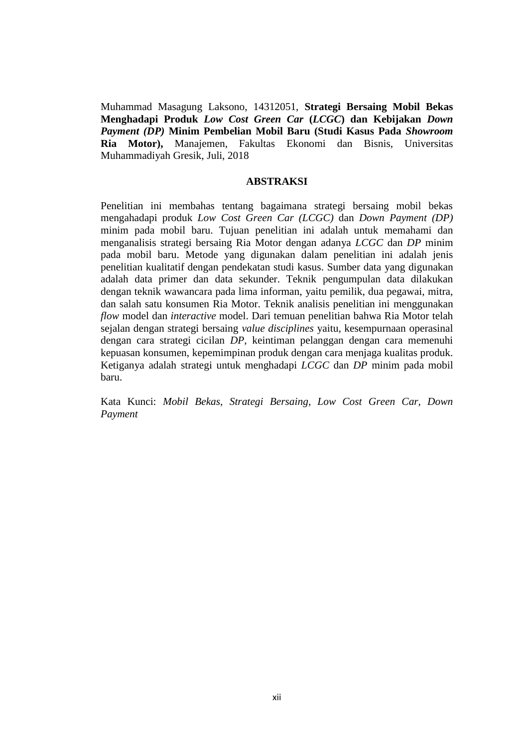Muhammad Masagung Laksono, 14312051, **Strategi Bersaing Mobil Bekas Menghadapi Produk** *Low Cost Green Car* **(***LCGC***) dan Kebijakan** *Down Payment (DP)* **Minim Pembelian Mobil Baru (Studi Kasus Pada** *Showroom* **Ria Motor),** Manajemen, Fakultas Ekonomi dan Bisnis, Universitas Muhammadiyah Gresik, Juli, 2018

## **ABSTRAKSI**

Penelitian ini membahas tentang bagaimana strategi bersaing mobil bekas mengahadapi produk *Low Cost Green Car (LCGC)* dan *Down Payment (DP)* minim pada mobil baru. Tujuan penelitian ini adalah untuk memahami dan menganalisis strategi bersaing Ria Motor dengan adanya *LCGC* dan *DP* minim pada mobil baru. Metode yang digunakan dalam penelitian ini adalah jenis penelitian kualitatif dengan pendekatan studi kasus. Sumber data yang digunakan adalah data primer dan data sekunder. Teknik pengumpulan data dilakukan dengan teknik wawancara pada lima informan, yaitu pemilik, dua pegawai, mitra, dan salah satu konsumen Ria Motor. Teknik analisis penelitian ini menggunakan *flow* model dan *interactive* model. Dari temuan penelitian bahwa Ria Motor telah sejalan dengan strategi bersaing *value disciplines* yaitu, kesempurnaan operasinal dengan cara strategi cicilan *DP*, keintiman pelanggan dengan cara memenuhi kepuasan konsumen, kepemimpinan produk dengan cara menjaga kualitas produk. Ketiganya adalah strategi untuk menghadapi *LCGC* dan *DP* minim pada mobil baru.

Kata Kunci: *Mobil Bekas, Strategi Bersaing, Low Cost Green Car, Down Payment*